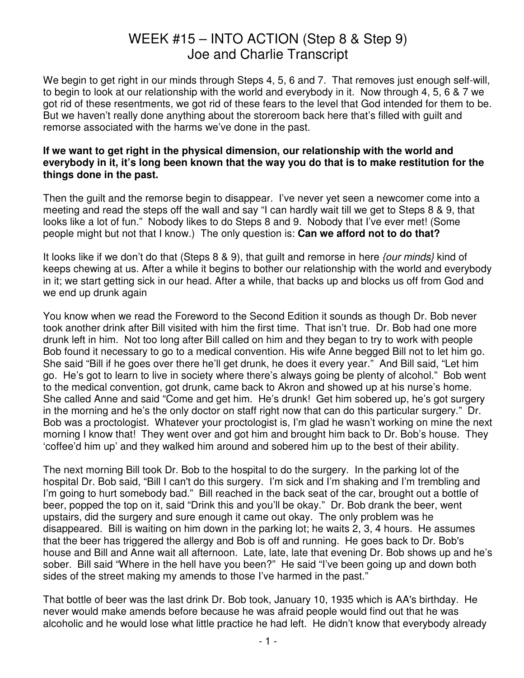We begin to get right in our minds through Steps 4, 5, 6 and 7. That removes just enough self-will, to begin to look at our relationship with the world and everybody in it. Now through 4, 5, 6 & 7 we got rid of these resentments, we got rid of these fears to the level that God intended for them to be. But we haven't really done anything about the storeroom back here that's filled with guilt and remorse associated with the harms we've done in the past.

#### **If we want to get right in the physical dimension, our relationship with the world and everybody in it, it's long been known that the way you do that is to make restitution for the things done in the past.**

Then the guilt and the remorse begin to disappear. I've never yet seen a newcomer come into a meeting and read the steps off the wall and say "I can hardly wait till we get to Steps 8 & 9, that looks like a lot of fun." Nobody likes to do Steps 8 and 9. Nobody that I've ever met! (Some people might but not that I know.) The only question is: **Can we afford not to do that?**

It looks like if we don't do that (Steps 8 & 9), that quilt and remorse in here *{our minds}* kind of keeps chewing at us. After a while it begins to bother our relationship with the world and everybody in it; we start getting sick in our head. After a while, that backs up and blocks us off from God and we end up drunk again

You know when we read the Foreword to the Second Edition it sounds as though Dr. Bob never took another drink after Bill visited with him the first time. That isn't true. Dr. Bob had one more drunk left in him. Not too long after Bill called on him and they began to try to work with people Bob found it necessary to go to a medical convention. His wife Anne begged Bill not to let him go. She said "Bill if he goes over there he'll get drunk, he does it every year." And Bill said, "Let him go. He's got to learn to live in society where there's always going be plenty of alcohol." Bob went to the medical convention, got drunk, came back to Akron and showed up at his nurse's home. She called Anne and said "Come and get him. He's drunk! Get him sobered up, he's got surgery in the morning and he's the only doctor on staff right now that can do this particular surgery." Dr. Bob was a proctologist. Whatever your proctologist is, I'm glad he wasn't working on mine the next morning I know that! They went over and got him and brought him back to Dr. Bob's house. They 'coffee'd him up' and they walked him around and sobered him up to the best of their ability.

The next morning Bill took Dr. Bob to the hospital to do the surgery. In the parking lot of the hospital Dr. Bob said, "Bill I can't do this surgery. I'm sick and I'm shaking and I'm trembling and I'm going to hurt somebody bad." Bill reached in the back seat of the car, brought out a bottle of beer, popped the top on it, said "Drink this and you'll be okay." Dr. Bob drank the beer, went upstairs, did the surgery and sure enough it came out okay. The only problem was he disappeared. Bill is waiting on him down in the parking lot; he waits 2, 3, 4 hours. He assumes that the beer has triggered the allergy and Bob is off and running. He goes back to Dr. Bob's house and Bill and Anne wait all afternoon. Late, late, late that evening Dr. Bob shows up and he's sober. Bill said "Where in the hell have you been?" He said "I've been going up and down both sides of the street making my amends to those I've harmed in the past."

That bottle of beer was the last drink Dr. Bob took, January 10, 1935 which is AA's birthday. He never would make amends before because he was afraid people would find out that he was alcoholic and he would lose what little practice he had left. He didn't know that everybody already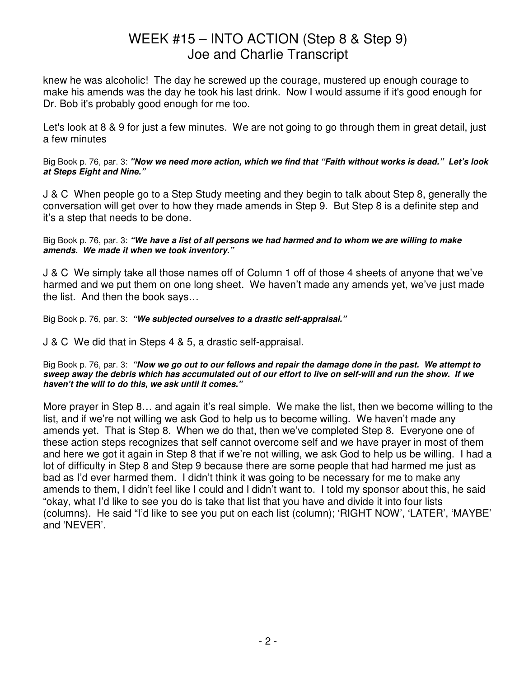knew he was alcoholic! The day he screwed up the courage, mustered up enough courage to make his amends was the day he took his last drink. Now I would assume if it's good enough for Dr. Bob it's probably good enough for me too.

Let's look at 8 & 9 for just a few minutes. We are not going to go through them in great detail, just a few minutes

Big Book p. 76, par. 3: **"Now we need more action, which we find that "Faith without works is dead." Let's look at Steps Eight and Nine."**

J & C When people go to a Step Study meeting and they begin to talk about Step 8, generally the conversation will get over to how they made amends in Step 9. But Step 8 is a definite step and it's a step that needs to be done.

Big Book p. 76, par. 3: **"We have a list of all persons we had harmed and to whom we are willing to make amends. We made it when we took inventory."**

J & C We simply take all those names off of Column 1 off of those 4 sheets of anyone that we've harmed and we put them on one long sheet. We haven't made any amends yet, we've just made the list. And then the book says…

Big Book p. 76, par. 3: **"We subjected ourselves to a drastic self-appraisal."**

J & C We did that in Steps 4 & 5, a drastic self-appraisal.

#### Big Book p. 76, par. 3: **"Now we go out to our fellows and repair the damage done in the past. We attempt to sweep away the debris which has accumulated out of our effort to live on self-will and run the show. If we haven't the will to do this, we ask until it comes."**

More prayer in Step 8… and again it's real simple. We make the list, then we become willing to the list, and if we're not willing we ask God to help us to become willing. We haven't made any amends yet. That is Step 8. When we do that, then we've completed Step 8. Everyone one of these action steps recognizes that self cannot overcome self and we have prayer in most of them and here we got it again in Step 8 that if we're not willing, we ask God to help us be willing. I had a lot of difficulty in Step 8 and Step 9 because there are some people that had harmed me just as bad as I'd ever harmed them. I didn't think it was going to be necessary for me to make any amends to them, I didn't feel like I could and I didn't want to. I told my sponsor about this, he said "okay, what I'd like to see you do is take that list that you have and divide it into four lists (columns). He said "I'd like to see you put on each list (column); 'RIGHT NOW', 'LATER', 'MAYBE' and 'NEVER'.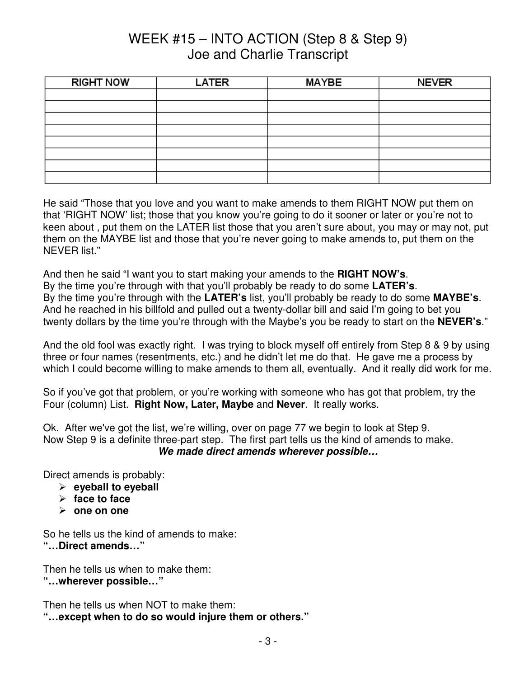| <b>RIGHT NOW</b> | LATER | <b>MAYBE</b> | <b>NEVER</b> |
|------------------|-------|--------------|--------------|
|                  |       |              |              |
|                  |       |              |              |
|                  |       |              |              |
|                  |       |              |              |
|                  |       |              |              |
|                  |       |              |              |
|                  |       |              |              |
|                  |       |              |              |

He said "Those that you love and you want to make amends to them RIGHT NOW put them on that 'RIGHT NOW' list; those that you know you're going to do it sooner or later or you're not to keen about , put them on the LATER list those that you aren't sure about, you may or may not, put them on the MAYBE list and those that you're never going to make amends to, put them on the NEVER list."

And then he said "I want you to start making your amends to the **RIGHT NOW's**. By the time you're through with that you'll probably be ready to do some **LATER's**. By the time you're through with the **LATER's** list, you'll probably be ready to do some **MAYBE's**. And he reached in his billfold and pulled out a twenty-dollar bill and said I'm going to bet you twenty dollars by the time you're through with the Maybe's you be ready to start on the **NEVER's**."

And the old fool was exactly right. I was trying to block myself off entirely from Step 8 & 9 by using three or four names (resentments, etc.) and he didn't let me do that. He gave me a process by which I could become willing to make amends to them all, eventually. And it really did work for me.

So if you've got that problem, or you're working with someone who has got that problem, try the Four (column) List. **Right Now, Later, Maybe** and **Never**. It really works.

Ok. After we've got the list, we're willing, over on page 77 we begin to look at Step 9. Now Step 9 is a definite three-part step. The first part tells us the kind of amends to make. **We made direct amends wherever possible…** 

Direct amends is probably:

- **eyeball to eyeball**
- **face to face**
- **one on one**

So he tells us the kind of amends to make: **"…Direct amends…"**

Then he tells us when to make them: **"…wherever possible…"**

Then he tells us when NOT to make them: **"…except when to do so would injure them or others."**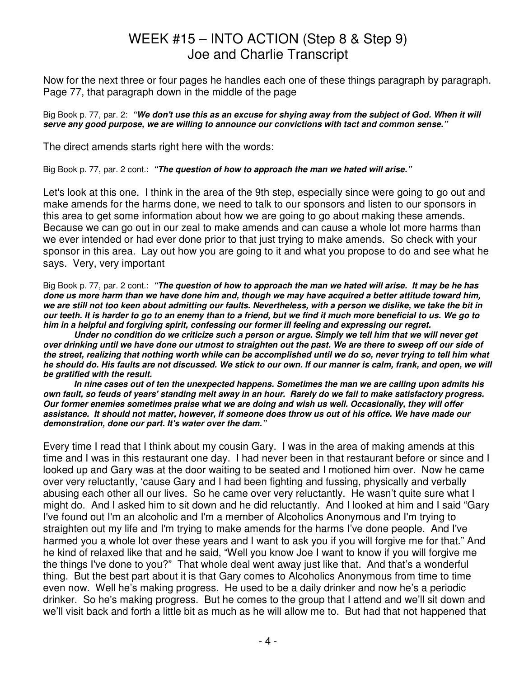Now for the next three or four pages he handles each one of these things paragraph by paragraph. Page 77, that paragraph down in the middle of the page

Big Book p. 77, par. 2: **"We don't use this as an excuse for shying away from the subject of God. When it will serve any good purpose, we are willing to announce our convictions with tact and common sense."**

The direct amends starts right here with the words:

Big Book p. 77, par. 2 cont.: **"The question of how to approach the man we hated will arise."**

Let's look at this one. I think in the area of the 9th step, especially since were going to go out and make amends for the harms done, we need to talk to our sponsors and listen to our sponsors in this area to get some information about how we are going to go about making these amends. Because we can go out in our zeal to make amends and can cause a whole lot more harms than we ever intended or had ever done prior to that just trying to make amends. So check with your sponsor in this area. Lay out how you are going to it and what you propose to do and see what he says. Very, very important

Big Book p. 77, par. 2 cont.: **"The question of how to approach the man we hated will arise. It may be he has done us more harm than we have done him and, though we may have acquired a better attitude toward him, we are still not too keen about admitting our faults. Nevertheless, with a person we dislike, we take the bit in our teeth. It is harder to go to an enemy than to a friend, but we find it much more beneficial to us. We go to him in a helpful and forgiving spirit, confessing our former ill feeling and expressing our regret.** 

**Under no condition do we criticize such a person or argue. Simply we tell him that we will never get over drinking until we have done our utmost to straighten out the past. We are there to sweep off our side of the street, realizing that nothing worth while can be accomplished until we do so, never trying to tell him what he should do. His faults are not discussed. We stick to our own. If our manner is calm, frank, and open, we will be gratified with the result.** 

**In nine cases out of ten the unexpected happens. Sometimes the man we are calling upon admits his own fault, so feuds of years' standing melt away in an hour. Rarely do we fail to make satisfactory progress. Our former enemies sometimes praise what we are doing and wish us well. Occasionally, they will offer assistance. It should not matter, however, if someone does throw us out of his office. We have made our demonstration, done our part. It's water over the dam."** 

Every time I read that I think about my cousin Gary. I was in the area of making amends at this time and I was in this restaurant one day. I had never been in that restaurant before or since and I looked up and Gary was at the door waiting to be seated and I motioned him over. Now he came over very reluctantly, 'cause Gary and I had been fighting and fussing, physically and verbally abusing each other all our lives. So he came over very reluctantly. He wasn't quite sure what I might do. And I asked him to sit down and he did reluctantly. And I looked at him and I said "Gary I've found out I'm an alcoholic and I'm a member of Alcoholics Anonymous and I'm trying to straighten out my life and I'm trying to make amends for the harms I've done people. And I've harmed you a whole lot over these years and I want to ask you if you will forgive me for that." And he kind of relaxed like that and he said, "Well you know Joe I want to know if you will forgive me the things I've done to you?" That whole deal went away just like that. And that's a wonderful thing. But the best part about it is that Gary comes to Alcoholics Anonymous from time to time even now. Well he's making progress. He used to be a daily drinker and now he's a periodic drinker. So he's making progress. But he comes to the group that I attend and we'll sit down and we'll visit back and forth a little bit as much as he will allow me to. But had that not happened that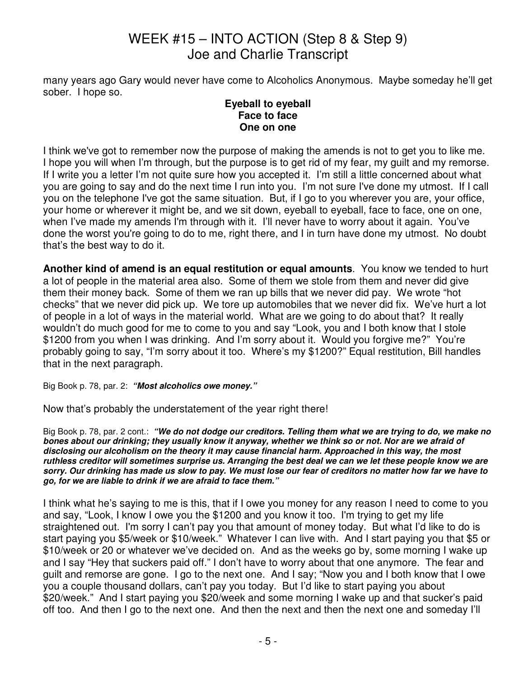many years ago Gary would never have come to Alcoholics Anonymous. Maybe someday he'll get sober. I hope so.

#### **Eyeball to eyeball Face to face One on one**

I think we've got to remember now the purpose of making the amends is not to get you to like me. I hope you will when I'm through, but the purpose is to get rid of my fear, my guilt and my remorse. If I write you a letter I'm not quite sure how you accepted it. I'm still a little concerned about what you are going to say and do the next time I run into you. I'm not sure I've done my utmost. If I call you on the telephone I've got the same situation. But, if I go to you wherever you are, your office, your home or wherever it might be, and we sit down, eyeball to eyeball, face to face, one on one, when I've made my amends I'm through with it. I'll never have to worry about it again. You've done the worst you're going to do to me, right there, and I in turn have done my utmost. No doubt that's the best way to do it.

**Another kind of amend is an equal restitution or equal amounts**. You know we tended to hurt a lot of people in the material area also. Some of them we stole from them and never did give them their money back. Some of them we ran up bills that we never did pay. We wrote "hot checks" that we never did pick up. We tore up automobiles that we never did fix. We've hurt a lot of people in a lot of ways in the material world. What are we going to do about that? It really wouldn't do much good for me to come to you and say "Look, you and I both know that I stole \$1200 from you when I was drinking. And I'm sorry about it. Would you forgive me?" You're probably going to say, "I'm sorry about it too. Where's my \$1200?" Equal restitution, Bill handles that in the next paragraph.

Big Book p. 78, par. 2: **"Most alcoholics owe money."** 

Now that's probably the understatement of the year right there!

Big Book p. 78, par. 2 cont.: **"We do not dodge our creditors. Telling them what we are trying to do, we make no bones about our drinking; they usually know it anyway, whether we think so or not. Nor are we afraid of disclosing our alcoholism on the theory it may cause financial harm. Approached in this way, the most ruthless creditor will sometimes surprise us. Arranging the best deal we can we let these people know we are sorry. Our drinking has made us slow to pay. We must lose our fear of creditors no matter how far we have to go, for we are liable to drink if we are afraid to face them."**

I think what he's saying to me is this, that if I owe you money for any reason I need to come to you and say, "Look, I know I owe you the \$1200 and you know it too. I'm trying to get my life straightened out. I'm sorry I can't pay you that amount of money today. But what I'd like to do is start paying you \$5/week or \$10/week." Whatever I can live with. And I start paying you that \$5 or \$10/week or 20 or whatever we've decided on. And as the weeks go by, some morning I wake up and I say "Hey that suckers paid off." I don't have to worry about that one anymore. The fear and guilt and remorse are gone. I go to the next one. And I say; "Now you and I both know that I owe you a couple thousand dollars, can't pay you today. But I'd like to start paying you about \$20/week." And I start paying you \$20/week and some morning I wake up and that sucker's paid off too. And then I go to the next one. And then the next and then the next one and someday I'll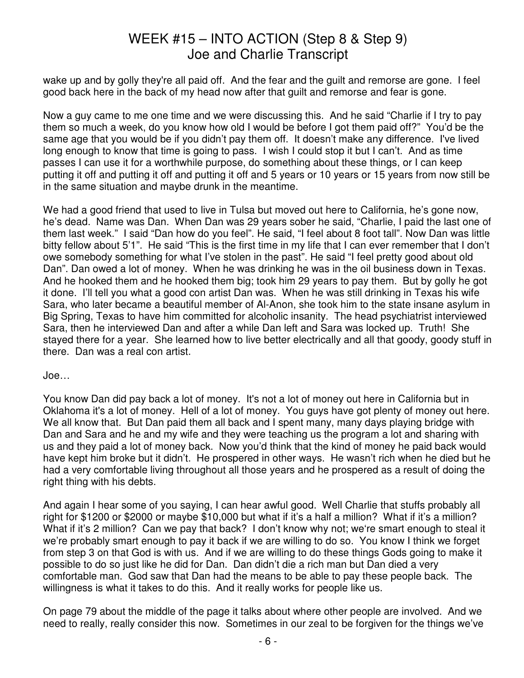wake up and by golly they're all paid off. And the fear and the guilt and remorse are gone. I feel good back here in the back of my head now after that guilt and remorse and fear is gone.

Now a guy came to me one time and we were discussing this. And he said "Charlie if I try to pay them so much a week, do you know how old I would be before I got them paid off?" You'd be the same age that you would be if you didn't pay them off. It doesn't make any difference. I've lived long enough to know that time is going to pass. I wish I could stop it but I can't. And as time passes I can use it for a worthwhile purpose, do something about these things, or I can keep putting it off and putting it off and putting it off and 5 years or 10 years or 15 years from now still be in the same situation and maybe drunk in the meantime.

We had a good friend that used to live in Tulsa but moved out here to California, he's gone now, he's dead. Name was Dan. When Dan was 29 years sober he said, "Charlie, I paid the last one of them last week." I said "Dan how do you feel". He said, "I feel about 8 foot tall". Now Dan was little bitty fellow about 5'1". He said "This is the first time in my life that I can ever remember that I don't owe somebody something for what I've stolen in the past". He said "I feel pretty good about old Dan". Dan owed a lot of money. When he was drinking he was in the oil business down in Texas. And he hooked them and he hooked them big; took him 29 years to pay them. But by golly he got it done. I'll tell you what a good con artist Dan was. When he was still drinking in Texas his wife Sara, who later became a beautiful member of Al-Anon, she took him to the state insane asylum in Big Spring, Texas to have him committed for alcoholic insanity. The head psychiatrist interviewed Sara, then he interviewed Dan and after a while Dan left and Sara was locked up. Truth! She stayed there for a year. She learned how to live better electrically and all that goody, goody stuff in there. Dan was a real con artist.

Joe…

You know Dan did pay back a lot of money. It's not a lot of money out here in California but in Oklahoma it's a lot of money. Hell of a lot of money. You guys have got plenty of money out here. We all know that. But Dan paid them all back and I spent many, many days playing bridge with Dan and Sara and he and my wife and they were teaching us the program a lot and sharing with us and they paid a lot of money back. Now you'd think that the kind of money he paid back would have kept him broke but it didn't. He prospered in other ways. He wasn't rich when he died but he had a very comfortable living throughout all those years and he prospered as a result of doing the right thing with his debts.

And again I hear some of you saying, I can hear awful good. Well Charlie that stuffs probably all right for \$1200 or \$2000 or maybe \$10,000 but what if it's a half a million? What if it's a million? What if it's 2 million? Can we pay that back? I don't know why not; we're smart enough to steal it we're probably smart enough to pay it back if we are willing to do so. You know I think we forget from step 3 on that God is with us. And if we are willing to do these things Gods going to make it possible to do so just like he did for Dan. Dan didn't die a rich man but Dan died a very comfortable man. God saw that Dan had the means to be able to pay these people back. The willingness is what it takes to do this. And it really works for people like us.

On page 79 about the middle of the page it talks about where other people are involved. And we need to really, really consider this now. Sometimes in our zeal to be forgiven for the things we've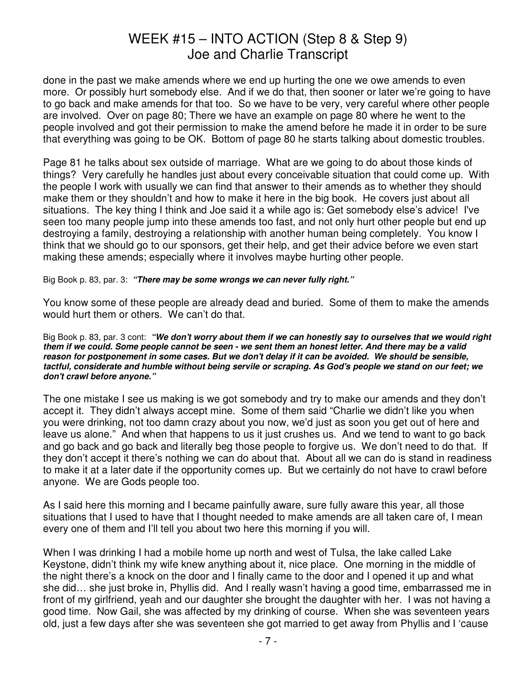done in the past we make amends where we end up hurting the one we owe amends to even more. Or possibly hurt somebody else. And if we do that, then sooner or later we're going to have to go back and make amends for that too. So we have to be very, very careful where other people are involved. Over on page 80; There we have an example on page 80 where he went to the people involved and got their permission to make the amend before he made it in order to be sure that everything was going to be OK. Bottom of page 80 he starts talking about domestic troubles.

Page 81 he talks about sex outside of marriage. What are we going to do about those kinds of things? Very carefully he handles just about every conceivable situation that could come up. With the people I work with usually we can find that answer to their amends as to whether they should make them or they shouldn't and how to make it here in the big book. He covers just about all situations. The key thing I think and Joe said it a while ago is: Get somebody else's advice! I've seen too many people jump into these amends too fast, and not only hurt other people but end up destroying a family, destroying a relationship with another human being completely. You know I think that we should go to our sponsors, get their help, and get their advice before we even start making these amends; especially where it involves maybe hurting other people.

Big Book p. 83, par. 3: **"There may be some wrongs we can never fully right."**

You know some of these people are already dead and buried. Some of them to make the amends would hurt them or others. We can't do that.

Big Book p. 83, par. 3 cont: **"We don't worry about them if we can honestly say to ourselves that we would right them if we could. Some people cannot be seen - we sent them an honest letter. And there may be a valid reason for postponement in some cases. But we don't delay if it can be avoided. We should be sensible, tactful, considerate and humble without being servile or scraping. As God's people we stand on our feet; we don't crawl before anyone."**

The one mistake I see us making is we got somebody and try to make our amends and they don't accept it. They didn't always accept mine. Some of them said "Charlie we didn't like you when you were drinking, not too damn crazy about you now, we'd just as soon you get out of here and leave us alone." And when that happens to us it just crushes us. And we tend to want to go back and go back and go back and literally beg those people to forgive us. We don't need to do that. If they don't accept it there's nothing we can do about that. About all we can do is stand in readiness to make it at a later date if the opportunity comes up. But we certainly do not have to crawl before anyone. We are Gods people too.

As I said here this morning and I became painfully aware, sure fully aware this year, all those situations that I used to have that I thought needed to make amends are all taken care of, I mean every one of them and I'll tell you about two here this morning if you will.

When I was drinking I had a mobile home up north and west of Tulsa, the lake called Lake Keystone, didn't think my wife knew anything about it, nice place. One morning in the middle of the night there's a knock on the door and I finally came to the door and I opened it up and what she did… she just broke in, Phyllis did. And I really wasn't having a good time, embarrassed me in front of my girlfriend, yeah and our daughter she brought the daughter with her. I was not having a good time. Now Gail, she was affected by my drinking of course. When she was seventeen years old, just a few days after she was seventeen she got married to get away from Phyllis and I 'cause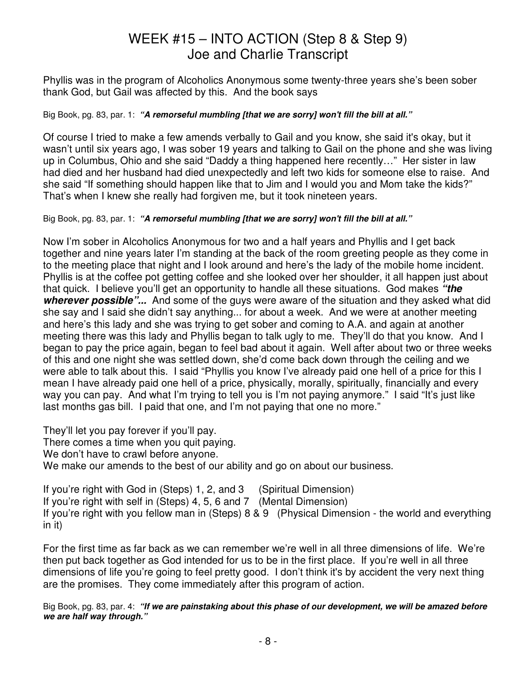Phyllis was in the program of Alcoholics Anonymous some twenty-three years she's been sober thank God, but Gail was affected by this. And the book says

Big Book, pg. 83, par. 1: **"A remorseful mumbling [that we are sorry] won't fill the bill at all."**

Of course I tried to make a few amends verbally to Gail and you know, she said it's okay, but it wasn't until six years ago, I was sober 19 years and talking to Gail on the phone and she was living up in Columbus, Ohio and she said "Daddy a thing happened here recently…" Her sister in law had died and her husband had died unexpectedly and left two kids for someone else to raise. And she said "If something should happen like that to Jim and I would you and Mom take the kids?" That's when I knew she really had forgiven me, but it took nineteen years.

Big Book, pg. 83, par. 1: **"A remorseful mumbling [that we are sorry] won't fill the bill at all."**

Now I'm sober in Alcoholics Anonymous for two and a half years and Phyllis and I get back together and nine years later I'm standing at the back of the room greeting people as they come in to the meeting place that night and I look around and here's the lady of the mobile home incident. Phyllis is at the coffee pot getting coffee and she looked over her shoulder, it all happen just about that quick. I believe you'll get an opportunity to handle all these situations. God makes **"the wherever possible"...** And some of the guys were aware of the situation and they asked what did she say and I said she didn't say anything... for about a week. And we were at another meeting and here's this lady and she was trying to get sober and coming to A.A. and again at another meeting there was this lady and Phyllis began to talk ugly to me. They'll do that you know. And I began to pay the price again, began to feel bad about it again. Well after about two or three weeks of this and one night she was settled down, she'd come back down through the ceiling and we were able to talk about this. I said "Phyllis you know I've already paid one hell of a price for this I mean I have already paid one hell of a price, physically, morally, spiritually, financially and every way you can pay. And what I'm trying to tell you is I'm not paying anymore." I said "It's just like last months gas bill. I paid that one, and I'm not paying that one no more."

They'll let you pay forever if you'll pay. There comes a time when you quit paying. We don't have to crawl before anyone. We make our amends to the best of our ability and go on about our business.

If you're right with God in (Steps) 1, 2, and 3 (Spiritual Dimension) If you're right with self in (Steps) 4, 5, 6 and 7 (Mental Dimension) If you're right with you fellow man in (Steps) 8 & 9 (Physical Dimension - the world and everything in it)

For the first time as far back as we can remember we're well in all three dimensions of life. We're then put back together as God intended for us to be in the first place. If you're well in all three dimensions of life you're going to feel pretty good. I don't think it's by accident the very next thing are the promises. They come immediately after this program of action.

Big Book, pg. 83, par. 4: **"If we are painstaking about this phase of our development, we will be amazed before we are half way through."**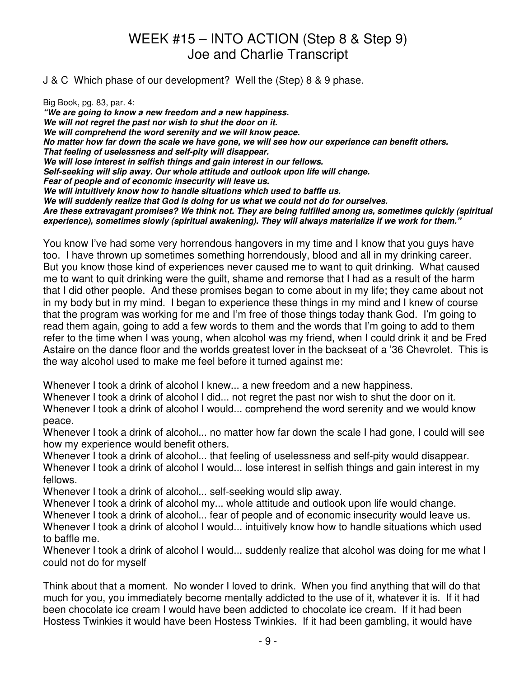#### J & C Which phase of our development? Well the (Step) 8 & 9 phase.

Big Book, pg. 83, par. 4: **"We are going to know a new freedom and a new happiness. We will not regret the past nor wish to shut the door on it. We will comprehend the word serenity and we will know peace. No matter how far down the scale we have gone, we will see how our experience can benefit others. That feeling of uselessness and self-pity will disappear. We will lose interest in selfish things and gain interest in our fellows. Self-seeking will slip away. Our whole attitude and outlook upon life will change. Fear of people and of economic insecurity will leave us. We will intuitively know how to handle situations which used to baffle us. We will suddenly realize that God is doing for us what we could not do for ourselves. Are these extravagant promises? We think not. They are being fulfilled among us, sometimes quickly (spiritual experience), sometimes slowly (spiritual awakening). They will always materialize if we work for them."** 

You know I've had some very horrendous hangovers in my time and I know that you guys have too. I have thrown up sometimes something horrendously, blood and all in my drinking career. But you know those kind of experiences never caused me to want to quit drinking. What caused me to want to quit drinking were the guilt, shame and remorse that I had as a result of the harm that I did other people. And these promises began to come about in my life; they came about not in my body but in my mind. I began to experience these things in my mind and I knew of course that the program was working for me and I'm free of those things today thank God. I'm going to read them again, going to add a few words to them and the words that I'm going to add to them refer to the time when I was young, when alcohol was my friend, when I could drink it and be Fred Astaire on the dance floor and the worlds greatest lover in the backseat of a '36 Chevrolet. This is the way alcohol used to make me feel before it turned against me:

Whenever I took a drink of alcohol I knew... a new freedom and a new happiness.

Whenever I took a drink of alcohol I did... not regret the past nor wish to shut the door on it. Whenever I took a drink of alcohol I would... comprehend the word serenity and we would know peace.

Whenever I took a drink of alcohol... no matter how far down the scale I had gone, I could will see how my experience would benefit others.

Whenever I took a drink of alcohol... that feeling of uselessness and self-pity would disappear. Whenever I took a drink of alcohol I would... lose interest in selfish things and gain interest in my fellows.

Whenever I took a drink of alcohol... self-seeking would slip away.

Whenever I took a drink of alcohol my... whole attitude and outlook upon life would change.

Whenever I took a drink of alcohol... fear of people and of economic insecurity would leave us.

Whenever I took a drink of alcohol I would... intuitively know how to handle situations which used to baffle me.

Whenever I took a drink of alcohol I would... suddenly realize that alcohol was doing for me what I could not do for myself

Think about that a moment. No wonder I loved to drink. When you find anything that will do that much for you, you immediately become mentally addicted to the use of it, whatever it is. If it had been chocolate ice cream I would have been addicted to chocolate ice cream. If it had been Hostess Twinkies it would have been Hostess Twinkies. If it had been gambling, it would have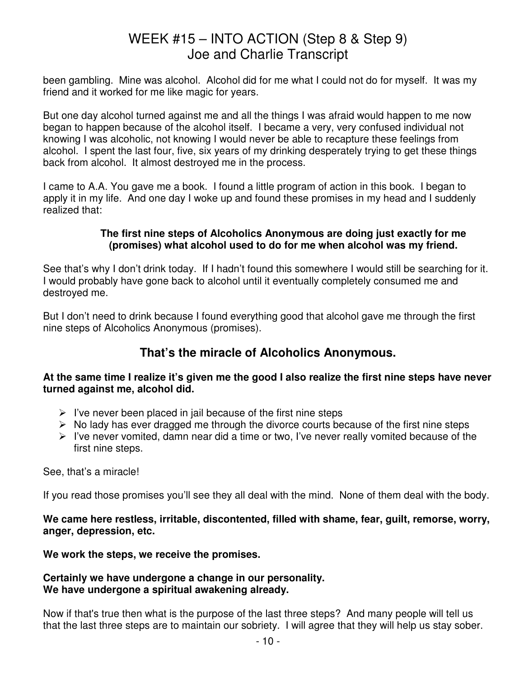been gambling. Mine was alcohol. Alcohol did for me what I could not do for myself. It was my friend and it worked for me like magic for years.

But one day alcohol turned against me and all the things I was afraid would happen to me now began to happen because of the alcohol itself. I became a very, very confused individual not knowing I was alcoholic, not knowing I would never be able to recapture these feelings from alcohol. I spent the last four, five, six years of my drinking desperately trying to get these things back from alcohol. It almost destroyed me in the process.

I came to A.A. You gave me a book. I found a little program of action in this book. I began to apply it in my life. And one day I woke up and found these promises in my head and I suddenly realized that:

#### **The first nine steps of Alcoholics Anonymous are doing just exactly for me (promises) what alcohol used to do for me when alcohol was my friend.**

See that's why I don't drink today. If I hadn't found this somewhere I would still be searching for it. I would probably have gone back to alcohol until it eventually completely consumed me and destroyed me.

But I don't need to drink because I found everything good that alcohol gave me through the first nine steps of Alcoholics Anonymous (promises).

#### **That's the miracle of Alcoholics Anonymous.**

#### **At the same time I realize it's given me the good I also realize the first nine steps have never turned against me, alcohol did.**

- $\triangleright$  I've never been placed in jail because of the first nine steps
- $\triangleright$  No lady has ever dragged me through the divorce courts because of the first nine steps
- $\triangleright$  I've never vomited, damn near did a time or two, I've never really vomited because of the first nine steps.

See, that's a miracle!

If you read those promises you'll see they all deal with the mind. None of them deal with the body.

**We came here restless, irritable, discontented, filled with shame, fear, guilt, remorse, worry, anger, depression, etc.** 

**We work the steps, we receive the promises.** 

#### **Certainly we have undergone a change in our personality. We have undergone a spiritual awakening already.**

Now if that's true then what is the purpose of the last three steps? And many people will tell us that the last three steps are to maintain our sobriety. I will agree that they will help us stay sober.